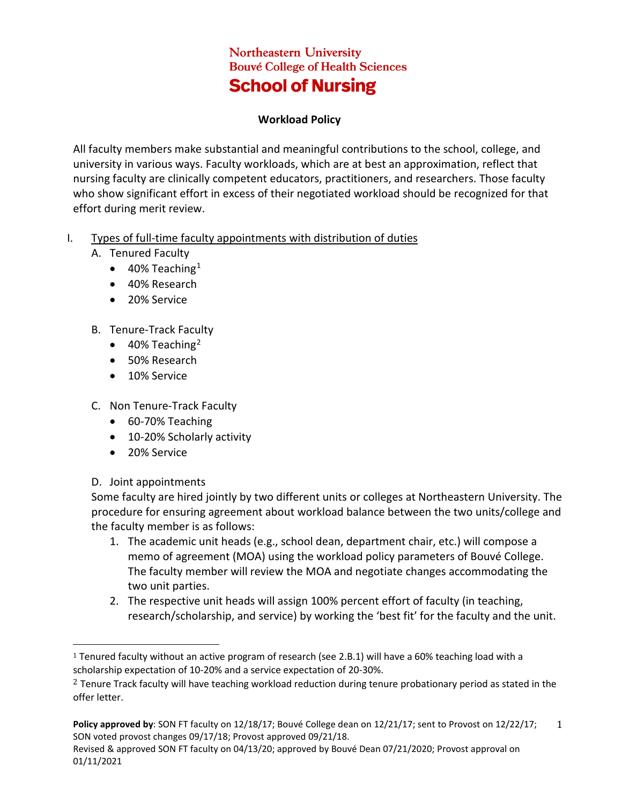## **Northeastern University Bouvé College of Health Sciences School of Nursing**

## **Workload Policy**

All faculty members make substantial and meaningful contributions to the school, college, and university in various ways. Faculty workloads, which are at best an approximation, reflect that nursing faculty are clinically competent educators, practitioners, and researchers. Those faculty who show significant effort in excess of their negotiated workload should be recognized for that effort during merit review.

- I. Types of full-time faculty appointments with distribution of duties
	- A. Tenured Faculty
		- $\bullet$  40% Teaching<sup>[1](#page-0-0)</sup>
		- 40% Research
		- 20% Service
	- B. Tenure-Track Faculty
		- $\bullet$  40% Teaching<sup>[2](#page-0-1)</sup>
		- 50% Research
		- 10% Service
	- C. Non Tenure-Track Faculty
		- 60-70% Teaching
		- 10-20% Scholarly activity
		- 20% Service
	- D. Joint appointments

Some faculty are hired jointly by two different units or colleges at Northeastern University. The procedure for ensuring agreement about workload balance between the two units/college and the faculty member is as follows:

- 1. The academic unit heads (e.g., school dean, department chair, etc.) will compose a memo of agreement (MOA) using the workload policy parameters of Bouvé College. The faculty member will review the MOA and negotiate changes accommodating the two unit parties.
- 2. The respective unit heads will assign 100% percent effort of faculty (in teaching, research/scholarship, and service) by working the 'best fit' for the faculty and the unit.

<span id="page-0-0"></span> <sup>1</sup> Tenured faculty without an active program of research (see 2.B.1) will have a 60% teaching load with a scholarship expectation of 10-20% and a service expectation of 20-30%.

<span id="page-0-1"></span><sup>&</sup>lt;sup>2</sup> Tenure Track faculty will have teaching workload reduction during tenure probationary period as stated in the offer letter.

**Policy approved by**: SON FT faculty on 12/18/17; Bouvé College dean on 12/21/17; sent to Provost on 12/22/17; SON voted provost changes 09/17/18; Provost approved 09/21/18. 1

Revised & approved SON FT faculty on 04/13/20; approved by Bouvé Dean 07/21/2020; Provost approval on 01/11/2021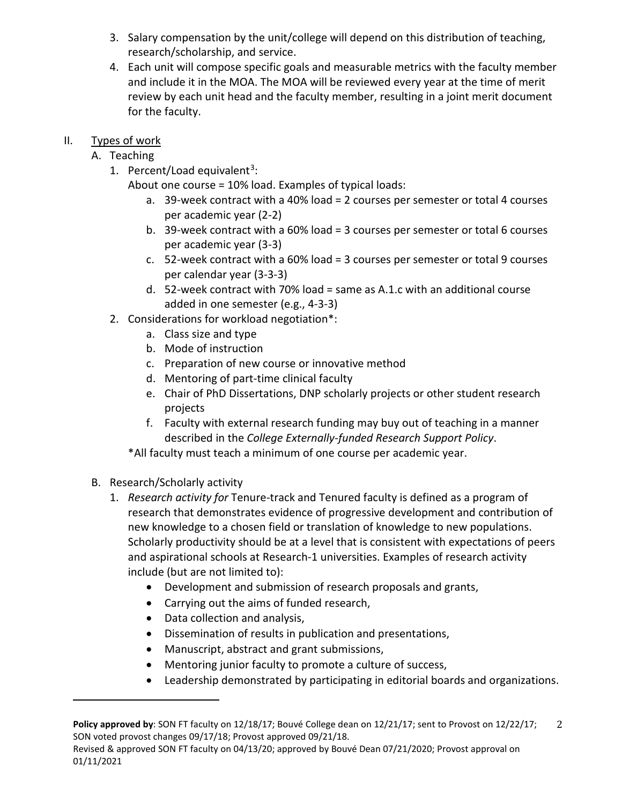- 3. Salary compensation by the unit/college will depend on this distribution of teaching, research/scholarship, and service.
- 4. Each unit will compose specific goals and measurable metrics with the faculty member and include it in the MOA. The MOA will be reviewed every year at the time of merit review by each unit head and the faculty member, resulting in a joint merit document for the faculty.

## II. Types of work

- A. Teaching
	- 1. Percent/Load equivalent<sup>3</sup>:

About one course = 10% load. Examples of typical loads:

- a. 39-week contract with a 40% load = 2 courses per semester or total 4 courses per academic year (2-2)
- b. 39-week contract with a 60% load = 3 courses per semester or total 6 courses per academic year (3-3)
- c. 52-week contract with a 60% load = 3 courses per semester or total 9 courses per calendar year (3-3-3)
- d. 52-week contract with 70% load = same as A.1.c with an additional course added in one semester (e.g., 4-3-3)
- 2. Considerations for workload negotiation\*:
	- a. Class size and type
	- b. Mode of instruction
	- c. Preparation of new course or innovative method
	- d. Mentoring of part-time clinical faculty
	- e. Chair of PhD Dissertations, DNP scholarly projects or other student research projects
	- f. Faculty with external research funding may buy out of teaching in a manner described in the *College Externally-funded Research Support Policy*.

\*All faculty must teach a minimum of one course per academic year.

B. Research/Scholarly activity

i<br>I

- 1. *Research activity for* Tenure-track and Tenured faculty is defined as a program of research that demonstrates evidence of progressive development and contribution of new knowledge to a chosen field or translation of knowledge to new populations. Scholarly productivity should be at a level that is consistent with expectations of peers and aspirational schools at Research-1 universities. Examples of research activity include (but are not limited to):
	- Development and submission of research proposals and grants,
	- Carrying out the aims of funded research,
	- Data collection and analysis,
	- Dissemination of results in publication and presentations,
	- Manuscript, abstract and grant submissions,
	- Mentoring junior faculty to promote a culture of success,
	- Leadership demonstrated by participating in editorial boards and organizations.

<span id="page-1-0"></span>**Policy approved by**: SON FT faculty on 12/18/17; Bouvé College dean on 12/21/17; sent to Provost on 12/22/17; SON voted provost changes 09/17/18; Provost approved 09/21/18. 2

Revised & approved SON FT faculty on 04/13/20; approved by Bouvé Dean 07/21/2020; Provost approval on 01/11/2021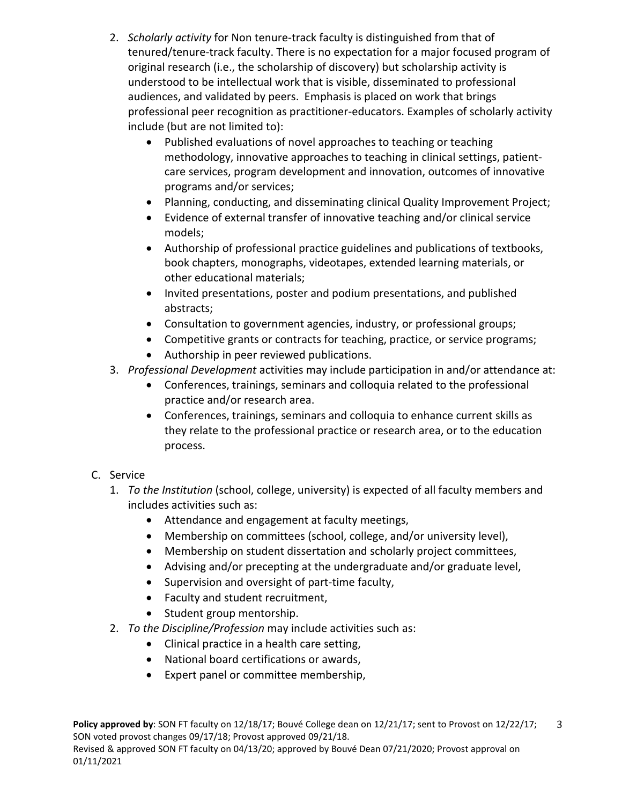- 2. *Scholarly activity* for Non tenure-track faculty is distinguished from that of tenured/tenure-track faculty. There is no expectation for a major focused program of original research (i.e., the scholarship of discovery) but scholarship activity is understood to be intellectual work that is visible, disseminated to professional audiences, and validated by peers. Emphasis is placed on work that brings professional peer recognition as practitioner-educators. Examples of scholarly activity include (but are not limited to):
	- Published evaluations of novel approaches to teaching or teaching methodology, innovative approaches to teaching in clinical settings, patientcare services, program development and innovation, outcomes of innovative programs and/or services;
	- Planning, conducting, and disseminating clinical Quality Improvement Project;
	- Evidence of external transfer of innovative teaching and/or clinical service models;
	- Authorship of professional practice guidelines and publications of textbooks, book chapters, monographs, videotapes, extended learning materials, or other educational materials;
	- Invited presentations, poster and podium presentations, and published abstracts;
	- Consultation to government agencies, industry, or professional groups;
	- Competitive grants or contracts for teaching, practice, or service programs;
	- Authorship in peer reviewed publications.
- 3. *Professional Development* activities may include participation in and/or attendance at:
	- Conferences, trainings, seminars and colloquia related to the professional practice and/or research area.
	- Conferences, trainings, seminars and colloquia to enhance current skills as they relate to the professional practice or research area, or to the education process.
- C. Service
	- 1. *To the Institution* (school, college, university) is expected of all faculty members and includes activities such as:
		- Attendance and engagement at faculty meetings,
		- Membership on committees (school, college, and/or university level),
		- Membership on student dissertation and scholarly project committees,
		- Advising and/or precepting at the undergraduate and/or graduate level,
		- Supervision and oversight of part-time faculty,
		- Faculty and student recruitment,
		- Student group mentorship.
	- 2. *To the Discipline/Profession* may include activities such as:
		- Clinical practice in a health care setting,
		- National board certifications or awards,
		- Expert panel or committee membership,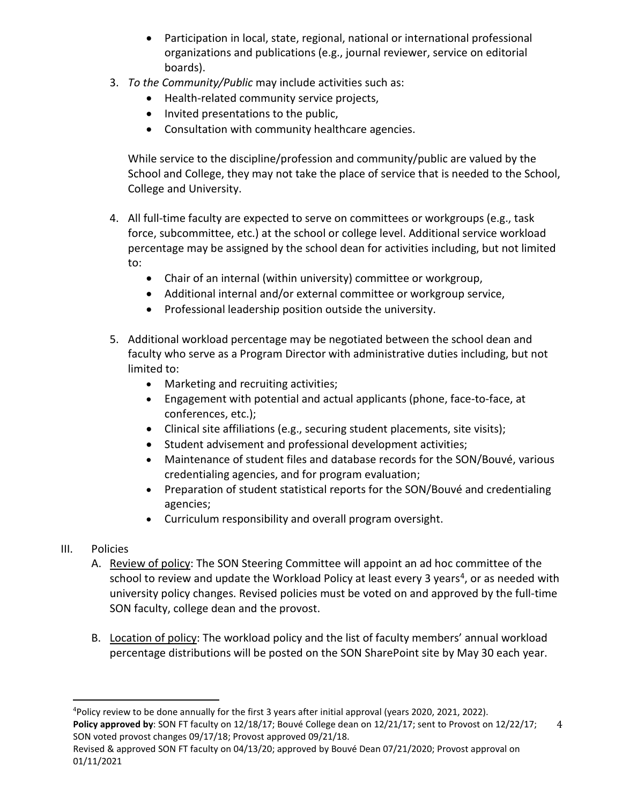- Participation in local, state, regional, national or international professional organizations and publications (e.g., journal reviewer, service on editorial boards).
- 3. *To the Community/Public* may include activities such as:
	- Health-related community service projects,
	- Invited presentations to the public,
	- Consultation with community healthcare agencies.

While service to the discipline/profession and community/public are valued by the School and College, they may not take the place of service that is needed to the School, College and University.

- 4. All full-time faculty are expected to serve on committees or workgroups (e.g., task force, subcommittee, etc.) at the school or college level. Additional service workload percentage may be assigned by the school dean for activities including, but not limited to:
	- Chair of an internal (within university) committee or workgroup,
	- Additional internal and/or external committee or workgroup service,
	- Professional leadership position outside the university.
- 5. Additional workload percentage may be negotiated between the school dean and faculty who serve as a Program Director with administrative duties including, but not limited to:
	- Marketing and recruiting activities;
	- Engagement with potential and actual applicants (phone, face-to-face, at conferences, etc.);
	- Clinical site affiliations (e.g., securing student placements, site visits);
	- Student advisement and professional development activities;
	- Maintenance of student files and database records for the SON/Bouvé, various credentialing agencies, and for program evaluation;
	- Preparation of student statistical reports for the SON/Bouvé and credentialing agencies;
	- Curriculum responsibility and overall program oversight.
- III. Policies
	- A. Review of policy: The SON Steering Committee will appoint an ad hoc committee of the school to review and update the Workload Policy at least every 3 years<sup>4</sup>, or as needed with university policy changes. Revised policies must be voted on and approved by the full-time SON faculty, college dean and the provost.
	- B. Location of policy: The workload policy and the list of faculty members' annual workload percentage distributions will be posted on the SON SharePoint site by May 30 each year.

4

<span id="page-3-0"></span>**Policy approved by**: SON FT faculty on 12/18/17; Bouvé College dean on 12/21/17; sent to Provost on 12/22/17; SON voted provost changes 09/17/18; Provost approved 09/21/18. ـ<br>4 Policy review to be done annually for the first 3 years after initial approval (years 2020, 2021, 2022).

Revised & approved SON FT faculty on 04/13/20; approved by Bouvé Dean 07/21/2020; Provost approval on 01/11/2021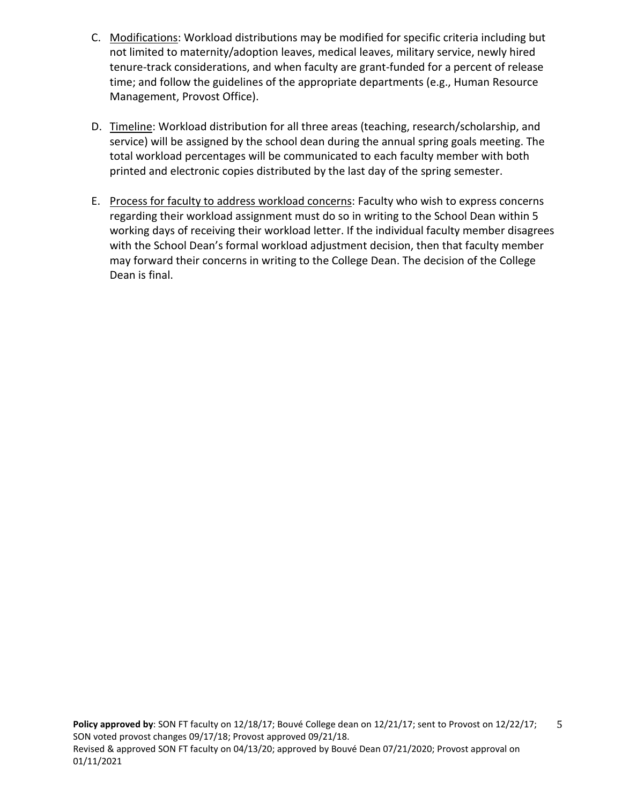- C. Modifications: Workload distributions may be modified for specific criteria including but not limited to maternity/adoption leaves, medical leaves, military service, newly hired tenure-track considerations, and when faculty are grant-funded for a percent of release time; and follow the guidelines of the appropriate departments (e.g., Human Resource Management, Provost Office).
- D. Timeline: Workload distribution for all three areas (teaching, research/scholarship, and service) will be assigned by the school dean during the annual spring goals meeting. The total workload percentages will be communicated to each faculty member with both printed and electronic copies distributed by the last day of the spring semester.
- E. Process for faculty to address workload concerns: Faculty who wish to express concerns regarding their workload assignment must do so in writing to the School Dean within 5 working days of receiving their workload letter. If the individual faculty member disagrees with the School Dean's formal workload adjustment decision, then that faculty member may forward their concerns in writing to the College Dean. The decision of the College Dean is final.